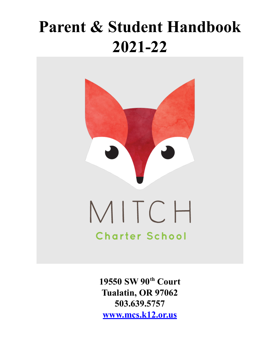# **Parent & Student Handbook** 2021-22



19550 SW 90th Court Tualatin, OR 97062 503.639.5757 www.mcs.k12.or.us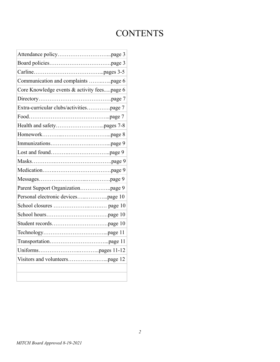# **CONTENTS**

| Communication and complaints page 6         |
|---------------------------------------------|
| Core Knowledge events & activity feespage 6 |
|                                             |
| Extra-curricular clubs/activitiespage 7     |
|                                             |
|                                             |
|                                             |
|                                             |
|                                             |
|                                             |
|                                             |
|                                             |
|                                             |
|                                             |
|                                             |
|                                             |
|                                             |
|                                             |
|                                             |
|                                             |
|                                             |
|                                             |
|                                             |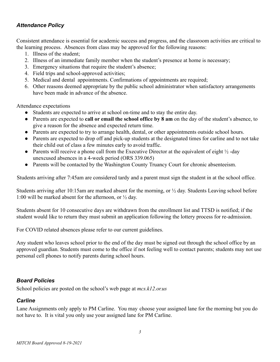# *Attendance Policy*

Consistent attendance is essential for academic success and progress, and the classroom activities are critical to the learning process. Absences from class may be approved for the following reasons:

- 1. Illness of the student;
- 2. Illness of an immediate family member when the student's presence at home is necessary;
- 3. Emergency situations that require the student's absence;
- 4. Field trips and school-approved activities;
- 5. Medical and dental appointments. Confirmations of appointments are required;
- 6. Other reasons deemed appropriate by the public school administrator when satisfactory arrangements have been made in advance of the absence.

Attendance expectations

- Students are expected to arrive at school on-time and to stay the entire day.
- Parents are expected to **call or email the school office by 8 am** on the day of the student's absence, to give a reason for the absence and expected return time.
- Parents are expected to try to arrange health, dental, or other appointments outside school hours.
- Parents are expected to drop off and pick-up students at the designated times for carline and to not take their child out of class a few minutes early to avoid traffic.
- Parents will receive a phone call from the Executive Director at the equivalent of eight  $\frac{1}{2}$ -day unexcused absences in a 4-week period (ORS 339.065)
- Parents will be contacted by the Washington County Truancy Court for chronic absenteeism.

Students arriving after 7:45am are considered tardy and a parent must sign the student in at the school office.

Students arriving after 10:15am are marked absent for the morning, or ½ day. Students Leaving school before 1:00 will be marked absent for the afternoon, or  $\frac{1}{2}$  day.

Students absent for 10 consecutive days are withdrawn from the enrollment list and TTSD is notified; if the student would like to return they must submit an application following the lottery process for re-admission.

For COVID related absences please refer to our current guidelines.

Any student who leaves school prior to the end of the day must be signed out through the school office by an approved guardian. Students must come to the office if not feeling well to contact parents; students may not use personal cell phones to notify parents during school hours.

# *Board Policies*

School policies are posted on the school's web page at *mcs.k12.or.us*

# *Carline*

Lane Assignments only apply to PM Carline. You may choose your assigned lane for the morning but you do not have to. It is vital you only use your assigned lane for PM Carline.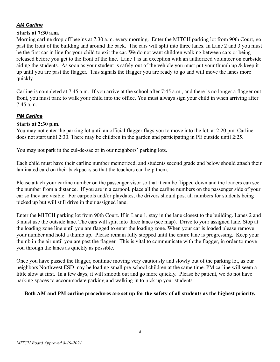# *AM Carline*

#### **Starts at 7:30 a.m.**

Morning carline drop off begins at 7:30 a.m. every morning. Enter the MITCH parking lot from 90th Court, go past the front of the building and around the back. The cars will split into three lanes. In Lane 2 and 3 you must be the first car in line for your child to exit the car. We do not want children walking between cars or being released before you get to the front of the line. Lane 1 is an exception with an authorized volunteer on curbside aiding the students. As soon as your student is safely out of the vehicle you must put your thumb up  $\&$  keep it up until you are past the flagger. This signals the flagger you are ready to go and will move the lanes more quickly.

Carline is completed at 7:45 a.m. If you arrive at the school after 7:45 a.m., and there is no longer a flagger out front, you must park to walk your child into the office. You must always sign your child in when arriving after  $7.45$  a.m.

# *PM Carline*

#### **Starts at 2:30 p.m.**

You may not enter the parking lot until an official flagger flags you to move into the lot, at 2:20 pm. Carline does not start until 2:30. There may be children in the garden and participating in PE outside until 2:25.

You may not park in the cul-de-sac or in our neighbors' parking lots.

Each child must have their carline number memorized, and students second grade and below should attach their laminated card on their backpacks so that the teachers can help them.

Please attach your carline number on the passenger visor so that it can be flipped down and the loaders can see the number from a distance. If you are in a carpool, place all the carline numbers on the passenger side of your car so they are visible. For carpools and/or playdates, the drivers should post all numbers for students being picked up but will still drive in their assigned lane.

Enter the MITCH parking lot from 90th Court. If in Lane 1, stay in the lane closest to the building. Lanes 2 and 3 must use the outside lane. The cars will split into three lanes (see map). Drive to your assigned lane. Stop at the loading zone line until you are flagged to enter the loading zone. When your car is loaded please remove your number and hold a thumb up. Please remain fully stopped until the entire lane is progressing. Keep your thumb in the air until you are past the flagger. This is vital to communicate with the flagger, in order to move you through the lanes as quickly as possible.

Once you have passed the flagger, continue moving very cautiously and slowly out of the parking lot, as our neighbors Northwest ESD may be loading small pre-school children at the same time. PM carline will seem a little slow at first. In a few days, it will smooth out and go more quickly. Please be patient, we do not have parking spaces to accommodate parking and walking in to pick up your students.

#### **Both AM and PM carline procedures are set up for the safety of all students as the highest priority.**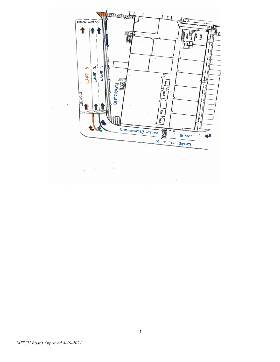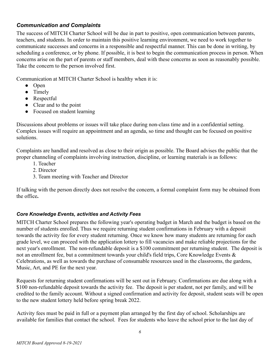# *Communication and Complaints*

The success of MITCH Charter School will be due in part to positive, open communication between parents, teachers, and students. In order to maintain this positive learning environment, we need to work together to communicate successes and concerns in a responsible and respectful manner. This can be done in writing, by scheduling a conference, or by phone. If possible, it is best to begin the communication process in person. When concerns arise on the part of parents or staff members, deal with these concerns as soon as reasonably possible. Take the concern to the person involved first.

Communication at MITCH Charter School is healthy when it is:

- Open
- Timely
- Respectful
- Clear and to the point
- Focused on student learning

Discussions about problems or issues will take place during non-class time and in a confidential setting. Complex issues will require an appointment and an agenda, so time and thought can be focused on positive solutions.

Complaints are handled and resolved as close to their origin as possible. The Board advises the public that the proper channeling of complaints involving instruction, discipline, or learning materials is as follows:

- 1. Teacher
- 2. Director
- 3. Team meeting with Teacher and Director

If talking with the person directly does not resolve the concern, a formal complaint form may be obtained from the office**.**

# *Core Knowledge Events, activities and Activity Fees*

MITCH Charter School prepares the following year's operating budget in March and the budget is based on the number of students enrolled. Thus we require returning student confirmations in February with a deposit towards the activity fee for every student returning. Once we know how many students are returning for each grade level, we can proceed with the application lottery to fill vacancies and make reliable projections for the next year's enrollment. The non-refundable deposit is a \$100 commitment per returning student. The deposit is not an enrollment fee, but a commitment towards your child's field trips, Core Knowledge Events & Celebrations, as well as towards the purchase of consumable resources used in the classrooms, the gardens, Music, Art, and PE for the next year.

Requests for returning student confirmations will be sent out in February. Confirmations are due along with a \$100 non-refundable deposit towards the activity fee. The deposit is per student, not per family, and will be credited to the family account. Without a signed confirmation and activity fee deposit, student seats will be open to the new student lottery held before spring break 2022.

Activity fees must be paid in full or a payment plan arranged by the first day of school. Scholarships are available for families that contact the school. Fees for students who leave the school prior to the last day of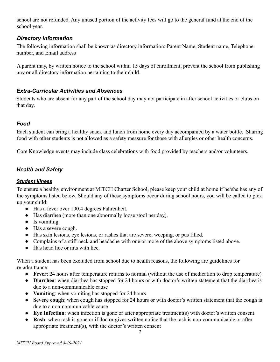school are not refunded. Any unused portion of the activity fees will go to the general fund at the end of the school year.

# *Directory Information*

The following information shall be known as directory information: Parent Name, Student name, Telephone number, and Email address

A parent may, by written notice to the school within 15 days of enrollment, prevent the school from publishing any or all directory information pertaining to their child.

# *Extra-Curricular Activities and Absences*

Students who are absent for any part of the school day may not participate in after school activities or clubs on that day.

# *Food*

Each student can bring a healthy snack and lunch from home every day accompanied by a water bottle. Sharing food with other students is not allowed as a safety measure for those with allergies or other health concerns.

Core Knowledge events may include class celebrations with food provided by teachers and/or volunteers.

# *Health and Safety*

#### *Student Illness*

To ensure a healthy environment at MITCH Charter School, please keep your child at home if he/she has any of the symptoms listed below. Should any of these symptoms occur during school hours, you will be called to pick up your child:

- Has a fever over 100.4 degrees Fahrenheit.
- Has diarrhea (more than one abnormally loose stool per day).
- Is vomiting.
- Has a severe cough.
- Has skin lesions, eye lesions, or rashes that are severe, weeping, or pus filled.
- Complains of a stiff neck and headache with one or more of the above symptoms listed above.
- Has head lice or nits with lice

When a student has been excluded from school due to health reasons, the following are guidelines for re-admittance:

- **Fever**: 24 hours after temperature returns to normal (without the use of medication to drop temperature)
- **Diarrhea**: when diarrhea has stopped for 24 hours or with doctor's written statement that the diarrhea is due to a non-communicable cause
- **Vomiting**: when vomiting has stopped for 24 hours
- **Severe cough**: when cough has stopped for 24 hours or with doctor's written statement that the cough is due to a non-communicable cause
- **Eye Infection**: when infection is gone or after appropriate treatment(s) with doctor's written consent
- **Rash**: when rash is gone or if doctor gives written notice that the rash is non-communicable or after appropriate treatment(s), with the doctor's written consent

*7*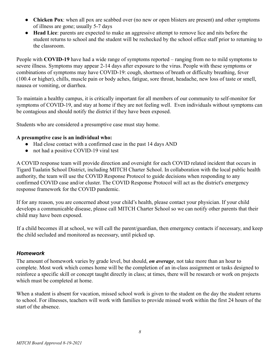- **Chicken Pox**: when all pox are scabbed over (no new or open blisters are present) and other symptoms of illness are gone; usually 5-7 days
- **Head Lice**: parents are expected to make an aggressive attempt to remove lice and nits before the student returns to school and the student will be rechecked by the school office staff prior to returning to the classroom.

People with **COVID-19** have had a wide range of symptoms reported – ranging from no to mild symptoms to severe illness. Symptoms may appear 2-14 days after exposure to the virus. People with these symptoms or combinations of symptoms may have COVID-19: cough, shortness of breath or difficulty breathing, fever (100.4 or higher), chills, muscle pain or body aches, fatigue, sore throat, headache, new loss of taste or smell, nausea or vomiting, or diarrhea.

To maintain a healthy campus, it is critically important for all members of our community to self-monitor for [symptoms of COVID-19](https://www.cdc.gov/coronavirus/2019-ncov/symptoms-testing/symptoms.html), and stay at home if they are not feeling well. Even individuals without symptoms can be contagious and should notify the district if they have been exposed.

Students who are considered a presumptive case must stay home.

#### **A presumptive case is an individual who:**

- Had close contact with a confirmed case in the past 14 days AND
- not had a positive COVID-19 viral test

A COVID response team will provide direction and oversight for each COVID related incident that occurs in Tigard Tualatin School District, including MITCH Charter School. In collaboration with the local public health authority, the team will use the COVID Response Protocol to guide decisions when responding to any confirmed COVID case and/or cluster. The COVID Response Protocol will act as the district's emergency response framework for the COVID pandemic.

If for any reason, you are concerned about your child's health, please contact your physician. If your child develops a communicable disease, please call MITCH Charter School so we can notify other parents that their child may have been exposed.

If a child becomes ill at school, we will call the parent/guardian, then emergency contacts if necessary, and keep the child secluded and monitored as necessary, until picked up.

#### *Homework*

The amount of homework varies by grade level, but should, *on average*, not take more than an hour to complete. Most work which comes home will be the completion of an in-class assignment or tasks designed to reinforce a specific skill or concept taught directly in class; at times, there will be research or work on projects which must be completed at home.

When a student is absent for vacation, missed school work is given to the student on the day the student returns to school. For illnesses, teachers will work with families to provide missed work within the first 24 hours of the start of the absence.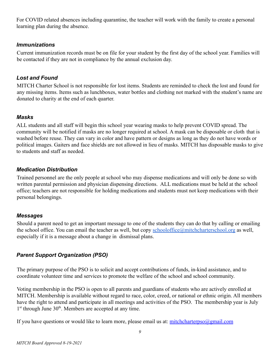For COVID related absences including quarantine, the teacher will work with the family to create a personal learning plan during the absence.

#### *Immunizations*

Current immunization records must be on file for your student by the first day of the school year. Families will be contacted if they are not in compliance by the annual exclusion day.

# *Lost and Found*

MITCH Charter School is not responsible for lost items. Students are reminded to check the lost and found for any missing items. Items such as lunchboxes, water bottles and clothing not marked with the student's name are donated to charity at the end of each quarter.

# *Masks*

ALL students and all staff will begin this school year wearing masks to help prevent COVID spread. The community will be notified if masks are no longer required at school. A mask can be disposable or cloth that is washed before reuse. They can vary in color and have pattern or designs as long as they do not have words or political images. Gaiters and face shields are not allowed in lieu of masks. MITCH has disposable masks to give to students and staff as needed.

# *Medication Distribution*

Trained personnel are the only people at school who may dispense medications and will only be done so with written parental permission and physician dispensing directions. ALL medications must be held at the school office; teachers are not responsible for holding medications and students must not keep medications with their personal belongings.

# *Messages*

Should a parent need to get an important message to one of the students they can do that by calling or emailing the school office. You can email the teacher as well, but copy [schooloffice@mitchcharterschool.org](mailto:schooloffice@mitchcharterschool.org) as well, especially if it is a message about a change in dismissal plans.

# *Parent Support Organization (PSO)*

The primary purpose of the PSO is to solicit and accept contributions of funds, in-kind assistance, and to coordinate volunteer time and services to promote the welfare of the school and school community.

Voting membership in the PSO is open to all parents and guardians of students who are actively enrolled at MITCH. Membership is available without regard to race, color, creed, or national or ethnic origin. All members have the right to attend and participate in all meetings and activities of the PSO. The membership year is July 1<sup>st</sup> through June 30<sup>th</sup>. Members are accepted at any time.

If you have questions or would like to learn more, please email us at: [mitchcharterpso@gmail.com](mailto:mitchchaterpso@gmail.com)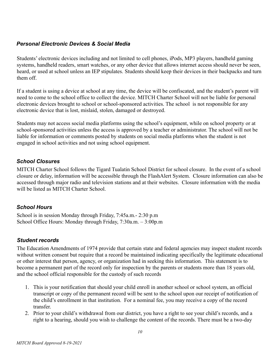# *Personal Electronic Devices & Social Media*

Students' electronic devices including and not limited to cell phones, iPods, MP3 players, handheld gaming systems, handheld readers, smart watches, or any other device that allows internet access should never be seen, heard, or used at school unless an IEP stipulates. Students should keep their devices in their backpacks and turn them off.

If a student is using a device at school at any time, the device will be confiscated, and the student's parent will need to come to the school office to collect the device. MITCH Charter School will not be liable for personal electronic devices brought to school or school-sponsored activities. The school is not responsible for any electronic device that is lost, mislaid, stolen, damaged or destroyed.

Students may not access social media platforms using the school's equipment, while on school property or at school-sponsored activities unless the access is approved by a teacher or administrator. The school will not be liable for information or comments posted by students on social media platforms when the student is not engaged in school activities and not using school equipment.

# *School Closures*

MITCH Charter School follows the Tigard Tualatin School District for school closure. In the event of a school closure or delay, information will be accessible through the FlashAlert System. Closure information can also be accessed through major radio and television stations and at their websites. Closure information with the media will be listed as MITCH Charter School.

# *School Hours*

School is in session Monday through Friday, 7:45a.m.- 2:30 p.m School Office Hours: Monday through Friday, 7:30a.m. – 3:00p.m

# *Student records*

The Education Amendments of 1974 provide that certain state and federal agencies may inspect student records without written consent but require that a record be maintained indicating specifically the legitimate educational or other interest that person, agency, or organization had in seeking this information. This statement is to become a permanent part of the record only for inspection by the parents or students more than 18 years old, and the school official responsible for the custody of such records

- 1. This is your notification that should your child enroll in another school or school system, an official transcript or copy of the permanent record will be sent to the school upon our receipt of notification of the child's enrollment in that institution. For a nominal fee, you may receive a copy of the record transfer.
- 2. Prior to your child's withdrawal from our district, you have a right to see your child's records, and a right to a hearing, should you wish to challenge the content of the records. There must be a two-day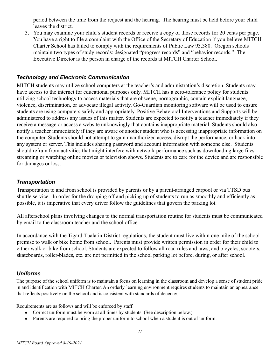period between the time from the request and the hearing. The hearing must be held before your child leaves the district.

3. You may examine your child's student records or receive a copy of those records for 20 cents per page. You have a right to file a complaint with the Office of the Secretary of Education if you believe MITCH Charter School has failed to comply with the requirements of Public Law 93.380. Oregon schools maintain two types of study records: designated "progress records" and "behavior records." The Executive Director is the person in charge of the records at MITCH Charter School.

# *Technology and Electronic Communication*

MITCH students may utilize school computers at the teacher's and administration's discretion. Students may have access to the internet for educational purposes only. MITCH has a zero-tolerance policy for students utilizing school technology to access materials that are obscene, pornographic, contain explicit language, violence, discrimination, or advocate illegal activity. Go-Guardian monitoring software will be used to ensure students are using computers safely and appropriately. Positive Behavioral Interventions and Supports will be administered to address any issues of this matter. Students are expected to notify a teacher immediately if they receive a message or access a website unknowingly that contains inappropriate material. Students should also notify a teacher immediately if they are aware of another student who is accessing inappropriate information on the computer. Students should not attempt to gain unauthorized access, disrupt the performance, or hack into any system or server. This includes sharing password and account information with someone else. Students should refrain from activities that might interfere with network performance such as downloading large files, streaming or watching online movies or television shows. Students are to care for the device and are responsible for damages or loss.

#### *Transportation*

Transportation to and from school is provided by parents or by a parent-arranged carpool or via TTSD bus shuttle service. In order for the dropping off and picking up of students to run as smoothly and efficiently as possible, it is imperative that every driver follow the guidelines that govern the parking lot.

All afterschool plans involving changes to the normal transportation routine for students must be communicated by email to the classroom teacher and the school office.

In accordance with the Tigard-Tualatin District regulations, the student must live within one mile of the school premise to walk or bike home from school. Parents must provide written permission in order for their child to either walk or bike from school. Students are expected to follow all road rules and laws, and bicycles, scooters, skateboards, roller-blades, etc. are not permitted in the school parking lot before, during, or after school.

#### *Uniforms*

The purpose of the school uniform is to maintain a focus on learning in the classroom and develop a sense of student pride in and identification with MITCH Charter. An orderly learning environment requires students to maintain an appearance that reflects positively on the school and is consistent with standards of decency.

Requirements are as follows and will be enforced by staff:

- Correct uniform must be worn at all times by students. (See description below.)
- Parents are required to bring the proper uniform to school when a student is out of uniform.